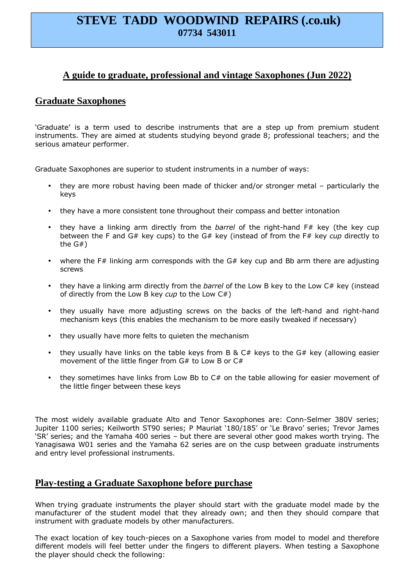# **STEVE TADD WOODWIND REPAIRS (.co.uk) 07734 543011**

## **A guide to graduate, professional and vintage Saxophones (Jun 2022)**

## **Graduate Saxophones**

'Graduate' is a term used to describe instruments that are a step up from premium student instruments. They are aimed at students studying beyond grade 8; professional teachers; and the serious amateur performer.

Graduate Saxophones are superior to student instruments in a number of ways:

- they are more robust having been made of thicker and/or stronger metal particularly the keys
- they have a more consistent tone throughout their compass and better intonation
- they have a linking arm directly from the *barrel* of the right-hand F# key (the key cup between the F and G# key cups) to the G# key (instead of from the F# key *cup* directly to the G#)
- where the F# linking arm corresponds with the  $G#$  key cup and Bb arm there are adjusting screws
- they have a linking arm directly from the *barrel* of the Low B key to the Low C# key (instead of directly from the Low B key *cup* to the Low C#)
- they usually have more adjusting screws on the backs of the left-hand and right-hand mechanism keys (this enables the mechanism to be more easily tweaked if necessary)
- they usually have more felts to quieten the mechanism
- they usually have links on the table keys from B &  $C#$  keys to the  $G#$  key (allowing easier movement of the little finger from G# to Low B or C#
- they sometimes have links from Low Bb to C# on the table allowing for easier movement of the little finger between these keys

The most widely available graduate Alto and Tenor Saxophones are: Conn-Selmer 380V series; Jupiter 1100 series; Keilworth ST90 series; P Mauriat '180/185' or 'Le Bravo' series; Trevor James 'SR' series; and the Yamaha 400 series – but there are several other good makes worth trying. The Yanagisawa W01 series and the Yamaha 62 series are on the cusp between graduate instruments and entry level professional instruments.

#### **Play-testing a Graduate Saxophone before purchase**

When trying graduate instruments the player should start with the graduate model made by the manufacturer of the student model that they already own; and then they should compare that instrument with graduate models by other manufacturers.

The exact location of key touch-pieces on a Saxophone varies from model to model and therefore different models will feel better under the fingers to different players. When testing a Saxophone the player should check the following: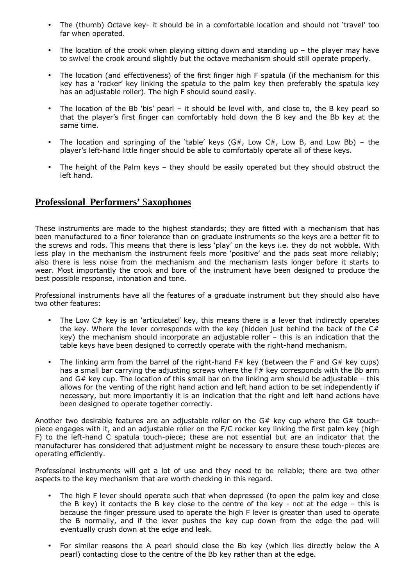- The (thumb) Octave key- it should be in a comfortable location and should not 'travel' too far when operated.
- The location of the crook when playing sitting down and standing up  $-$  the player may have to swivel the crook around slightly but the octave mechanism should still operate properly.
- The location (and effectiveness) of the first finger high F spatula (if the mechanism for this key has a 'rocker' key linking the spatula to the palm key then preferably the spatula key has an adjustable roller). The high F should sound easily.
- The location of the Bb 'bis' pearl it should be level with, and close to, the B key pearl so that the player's first finger can comfortably hold down the B key and the Bb key at the same time.
- The location and springing of the 'table' keys  $(G#$ , Low  $C#$ , Low B, and Low Bb) the player's left-hand little finger should be able to comfortably operate all of these keys.
- The height of the Palm keys they should be easily operated but they should obstruct the left hand.

## **Professional Performers'** S**axophones**

These instruments are made to the highest standards; they are fitted with a mechanism that has been manufactured to a finer tolerance than on graduate instruments so the keys are a better fit to the screws and rods. This means that there is less 'play' on the keys i.e. they do not wobble. With less play in the mechanism the instrument feels more 'positive' and the pads seat more reliably; also there is less noise from the mechanism and the mechanism lasts longer before it starts to wear. Most importantly the crook and bore of the instrument have been designed to produce the best possible response, intonation and tone.

Professional instruments have all the features of a graduate instrument but they should also have two other features:

- The Low  $C#$  key is an 'articulated' key, this means there is a lever that indirectly operates the key. Where the lever corresponds with the key (hidden just behind the back of the  $C#$ key) the mechanism should incorporate an adjustable roller – this is an indication that the table keys have been designed to correctly operate with the right-hand mechanism.
- The linking arm from the barrel of the right-hand  $F#$  key (between the F and  $G#$  key cups) has a small bar carrying the adjusting screws where the  $F#$  key corresponds with the Bb arm and  $G#$  key cup. The location of this small bar on the linking arm should be adjustable – this allows for the venting of the right hand action and left hand action to be set independently if necessary, but more importantly it is an indication that the right and left hand actions have been designed to operate together correctly.

Another two desirable features are an adjustable roller on the  $G#$  key cup where the  $G#$  touchpiece engages with it, and an adjustable roller on the F/C rocker key linking the first palm key (high F) to the left-hand C spatula touch-piece; these are not essential but are an indicator that the manufacturer has considered that adjustment might be necessary to ensure these touch-pieces are operating efficiently.

Professional instruments will get a lot of use and they need to be reliable; there are two other aspects to the key mechanism that are worth checking in this regard.

- The high F lever should operate such that when depressed (to open the palm key and close the B key) it contacts the B key close to the centre of the key - not at the edge  $-$  this is because the finger pressure used to operate the high F lever is greater than used to operate the B normally, and if the lever pushes the key cup down from the edge the pad will eventually crush down at the edge and leak.
- For similar reasons the A pearl should close the Bb key (which lies directly below the A pearl) contacting close to the centre of the Bb key rather than at the edge.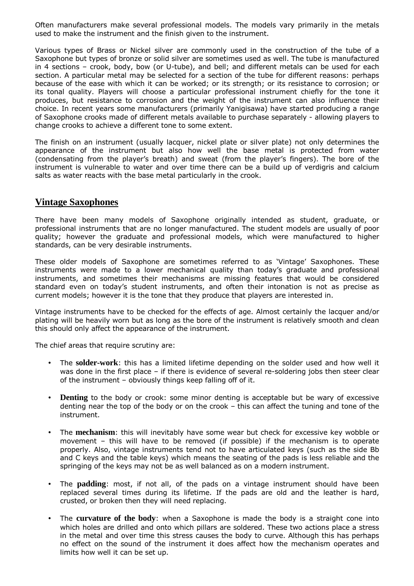Often manufacturers make several professional models. The models vary primarily in the metals used to make the instrument and the finish given to the instrument.

Various types of Brass or Nickel silver are commonly used in the construction of the tube of a Saxophone but types of bronze or solid silver are sometimes used as well. The tube is manufactured in 4 sections – crook, body, bow (or U-tube), and bell; and different metals can be used for each section. A particular metal may be selected for a section of the tube for different reasons: perhaps because of the ease with which it can be worked; or its strength; or its resistance to corrosion; or its tonal quality. Players will choose a particular professional instrument chiefly for the tone it produces, but resistance to corrosion and the weight of the instrument can also influence their choice. In recent years some manufacturers (primarily Yanigisawa) have started producing a range of Saxophone crooks made of different metals available to purchase separately - allowing players to change crooks to achieve a different tone to some extent.

The finish on an instrument (usually lacquer, nickel plate or silver plate) not only determines the appearance of the instrument but also how well the base metal is protected from water (condensating from the player's breath) and sweat (from the player's fingers). The bore of the instrument is vulnerable to water and over time there can be a build up of verdigris and calcium salts as water reacts with the base metal particularly in the crook.

#### **Vintage Saxophones**

There have been many models of Saxophone originally intended as student, graduate, or professional instruments that are no longer manufactured. The student models are usually of poor quality; however the graduate and professional models, which were manufactured to higher standards, can be very desirable instruments.

These older models of Saxophone are sometimes referred to as 'Vintage' Saxophones. These instruments were made to a lower mechanical quality than today's graduate and professional instruments, and sometimes their mechanisms are missing features that would be considered standard even on today's student instruments, and often their intonation is not as precise as current models; however it is the tone that they produce that players are interested in.

Vintage instruments have to be checked for the effects of age. Almost certainly the lacquer and/or plating will be heavily worn but as long as the bore of the instrument is relatively smooth and clean this should only affect the appearance of the instrument.

The chief areas that require scrutiny are:

- The **solder-work**: this has a limited lifetime depending on the solder used and how well it was done in the first place – if there is evidence of several re-soldering jobs then steer clear of the instrument – obviously things keep falling off of it.
- **Denting** to the body or crook: some minor denting is acceptable but be wary of excessive denting near the top of the body or on the crook – this can affect the tuning and tone of the instrument.
- The **mechanism**: this will inevitably have some wear but check for excessive key wobble or movement – this will have to be removed (if possible) if the mechanism is to operate properly. Also, vintage instruments tend not to have articulated keys (such as the side Bb and C keys and the table keys) which means the seating of the pads is less reliable and the springing of the keys may not be as well balanced as on a modern instrument.
- The **padding**: most, if not all, of the pads on a vintage instrument should have been replaced several times during its lifetime. If the pads are old and the leather is hard, crusted, or broken then they will need replacing.
- The **curvature of the body**: when a Saxophone is made the body is a straight cone into which holes are drilled and onto which pillars are soldered. These two actions place a stress in the metal and over time this stress causes the body to curve. Although this has perhaps no effect on the sound of the instrument it does affect how the mechanism operates and limits how well it can be set up.